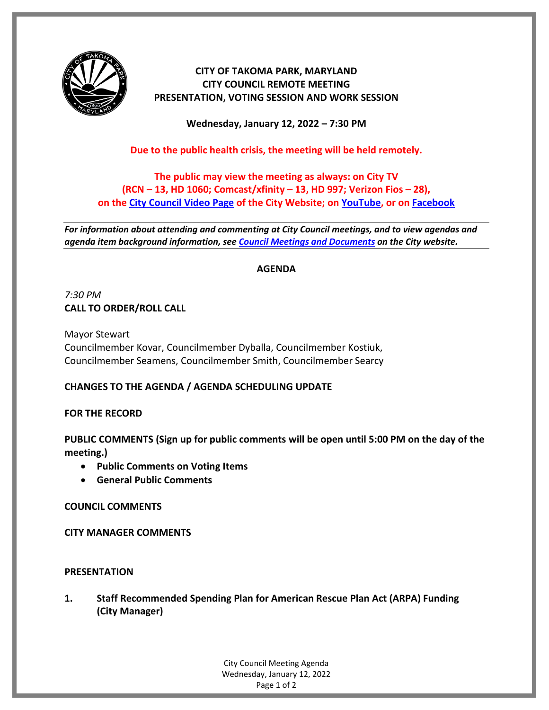

# **CITY OF TAKOMA PARK, MARYLAND CITY COUNCIL REMOTE MEETING PRESENTATION, VOTING SESSION AND WORK SESSION**

**Wednesday, January 12, 2022 – 7:30 PM**

**Due to the public health crisis, the meeting will be held remotely.**

# **The public may view the meeting as always: on City TV (RCN – 13, HD 1060; Comcast/xfinity – 13, HD 997; Verizon Fios – 28), on the [City Council Video Page](https://takomaparkmd.gov/government/city-council/meetings-and-documents/city-council-video/) of the City Website; on [YouTube,](https://www.youtube.com/user/TakomaParkTV) or o[n Facebook](https://www.facebook.com/TakomaParkTV)**

*For information about attending and commenting at City Council meetings, and to view agendas and agenda item background information, see [Council Meetings and Documents](https://takomaparkmd.gov/government/city-council/meetings-and-documents/) on the City website.*

## **AGENDA**

*7:30 PM* **CALL TO ORDER/ROLL CALL**

Mayor Stewart Councilmember Kovar, Councilmember Dyballa, Councilmember Kostiuk, Councilmember Seamens, Councilmember Smith, Councilmember Searcy

# **CHANGES TO THE AGENDA / AGENDA SCHEDULING UPDATE**

### **FOR THE RECORD**

**PUBLIC COMMENTS (Sign up for public comments will be open until 5:00 PM on the day of the meeting.)**

- **Public Comments on Voting Items**
- **General Public Comments**

**COUNCIL COMMENTS**

**CITY MANAGER COMMENTS**

### **PRESENTATION**

**1. Staff Recommended Spending Plan for American Rescue Plan Act (ARPA) Funding (City Manager)**

> City Council Meeting Agenda Wednesday, January 12, 2022 Page 1 of 2